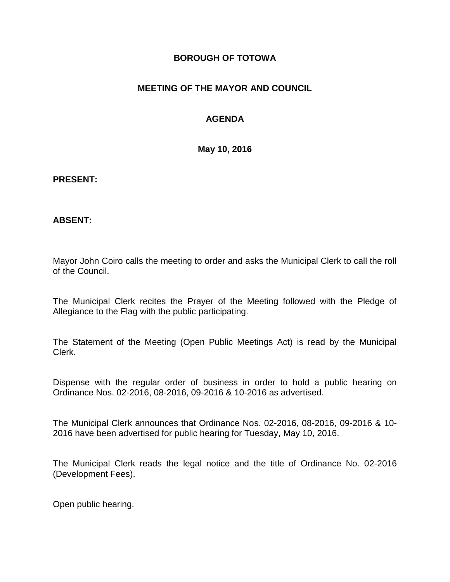#### **BOROUGH OF TOTOWA**

## **MEETING OF THE MAYOR AND COUNCIL**

## **AGENDA**

**May 10, 2016**

#### **PRESENT:**

#### **ABSENT:**

Mayor John Coiro calls the meeting to order and asks the Municipal Clerk to call the roll of the Council.

The Municipal Clerk recites the Prayer of the Meeting followed with the Pledge of Allegiance to the Flag with the public participating.

The Statement of the Meeting (Open Public Meetings Act) is read by the Municipal Clerk.

Dispense with the regular order of business in order to hold a public hearing on Ordinance Nos. 02-2016, 08-2016, 09-2016 & 10-2016 as advertised.

The Municipal Clerk announces that Ordinance Nos. 02-2016, 08-2016, 09-2016 & 10- 2016 have been advertised for public hearing for Tuesday, May 10, 2016.

The Municipal Clerk reads the legal notice and the title of Ordinance No. 02-2016 (Development Fees).

Open public hearing.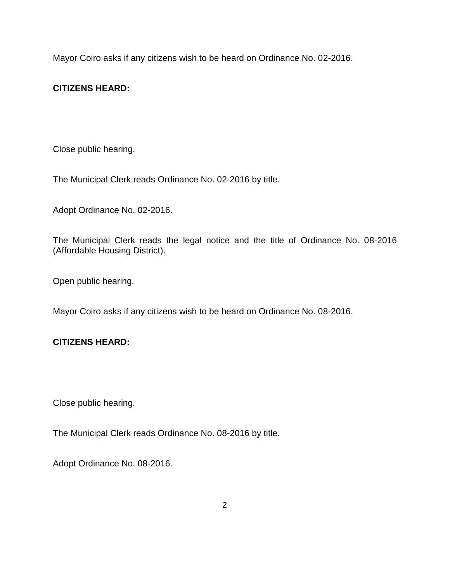Mayor Coiro asks if any citizens wish to be heard on Ordinance No. 02-2016.

# **CITIZENS HEARD:**

Close public hearing.

The Municipal Clerk reads Ordinance No. 02-2016 by title.

Adopt Ordinance No. 02-2016.

The Municipal Clerk reads the legal notice and the title of Ordinance No. 08-2016 (Affordable Housing District).

Open public hearing.

Mayor Coiro asks if any citizens wish to be heard on Ordinance No. 08-2016.

## **CITIZENS HEARD:**

Close public hearing.

The Municipal Clerk reads Ordinance No. 08-2016 by title.

Adopt Ordinance No. 08-2016.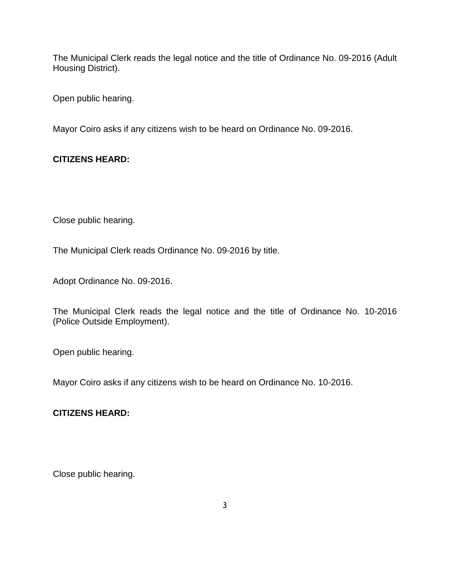The Municipal Clerk reads the legal notice and the title of Ordinance No. 09-2016 (Adult Housing District).

Open public hearing.

Mayor Coiro asks if any citizens wish to be heard on Ordinance No. 09-2016.

## **CITIZENS HEARD:**

Close public hearing.

The Municipal Clerk reads Ordinance No. 09-2016 by title.

Adopt Ordinance No. 09-2016.

The Municipal Clerk reads the legal notice and the title of Ordinance No. 10-2016 (Police Outside Employment).

Open public hearing.

Mayor Coiro asks if any citizens wish to be heard on Ordinance No. 10-2016.

## **CITIZENS HEARD:**

Close public hearing.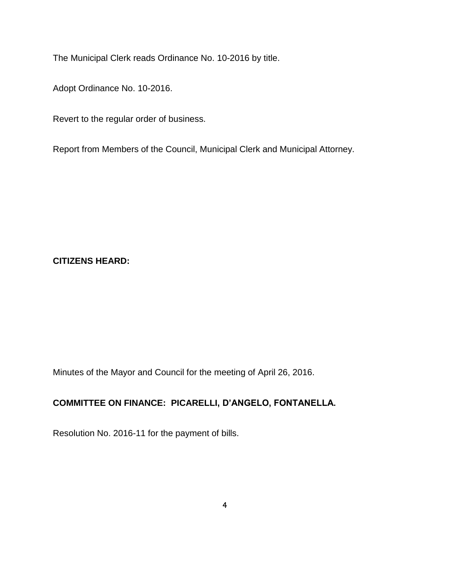The Municipal Clerk reads Ordinance No. 10-2016 by title.

Adopt Ordinance No. 10-2016.

Revert to the regular order of business.

Report from Members of the Council, Municipal Clerk and Municipal Attorney.

### **CITIZENS HEARD:**

Minutes of the Mayor and Council for the meeting of April 26, 2016.

# **COMMITTEE ON FINANCE: PICARELLI, D'ANGELO, FONTANELLA.**

Resolution No. 2016-11 for the payment of bills.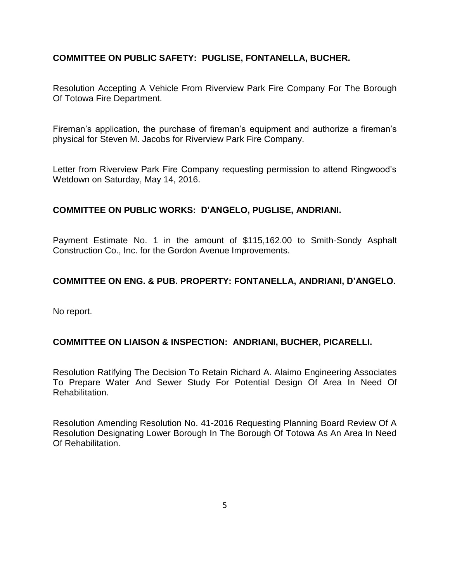## **COMMITTEE ON PUBLIC SAFETY: PUGLISE, FONTANELLA, BUCHER.**

Resolution Accepting A Vehicle From Riverview Park Fire Company For The Borough Of Totowa Fire Department.

Fireman's application, the purchase of fireman's equipment and authorize a fireman's physical for Steven M. Jacobs for Riverview Park Fire Company.

Letter from Riverview Park Fire Company requesting permission to attend Ringwood's Wetdown on Saturday, May 14, 2016.

#### **COMMITTEE ON PUBLIC WORKS: D'ANGELO, PUGLISE, ANDRIANI.**

Payment Estimate No. 1 in the amount of \$115,162.00 to Smith-Sondy Asphalt Construction Co., Inc. for the Gordon Avenue Improvements.

### **COMMITTEE ON ENG. & PUB. PROPERTY: FONTANELLA, ANDRIANI, D'ANGELO.**

No report.

#### **COMMITTEE ON LIAISON & INSPECTION: ANDRIANI, BUCHER, PICARELLI.**

Resolution Ratifying The Decision To Retain Richard A. Alaimo Engineering Associates To Prepare Water And Sewer Study For Potential Design Of Area In Need Of Rehabilitation.

Resolution Amending Resolution No. 41-2016 Requesting Planning Board Review Of A Resolution Designating Lower Borough In The Borough Of Totowa As An Area In Need Of Rehabilitation.